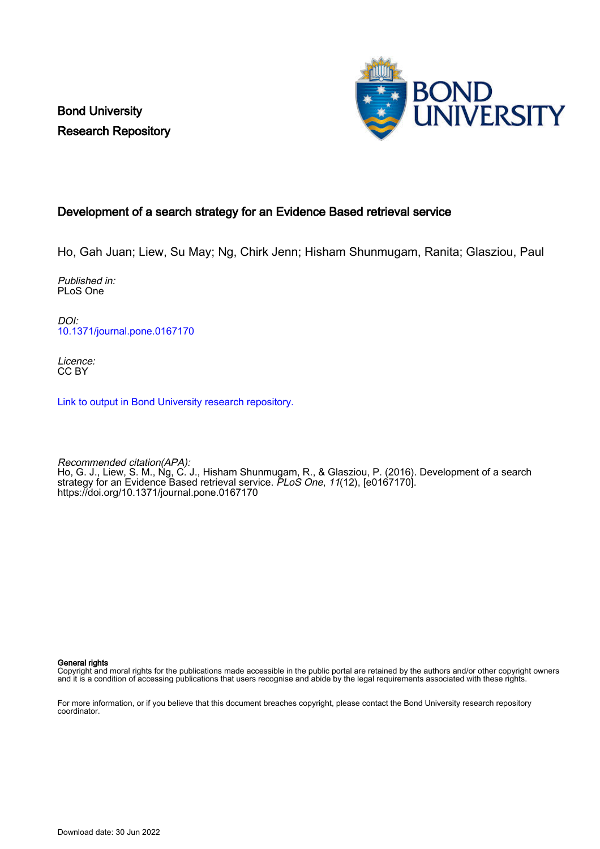Bond University Research Repository



# Development of a search strategy for an Evidence Based retrieval service

Ho, Gah Juan; Liew, Su May; Ng, Chirk Jenn; Hisham Shunmugam, Ranita; Glasziou, Paul

Published in: PLoS One

DOI: [10.1371/journal.pone.0167170](https://doi.org/10.1371/journal.pone.0167170)

Licence: CC BY

[Link to output in Bond University research repository.](https://research.bond.edu.au/en/publications/e06023be-eb95-42c0-86bc-68a6b47d177a)

Recommended citation(APA): Ho, G. J., Liew, S. M., Ng, C. J., Hisham Shunmugam, R., & Glasziou, P. (2016). Development of a search strategy for an Evidence Based retrieval service. *PLoS One*, 11(12), [e0167170]. <https://doi.org/10.1371/journal.pone.0167170>

General rights

Copyright and moral rights for the publications made accessible in the public portal are retained by the authors and/or other copyright owners and it is a condition of accessing publications that users recognise and abide by the legal requirements associated with these rights.

For more information, or if you believe that this document breaches copyright, please contact the Bond University research repository coordinator.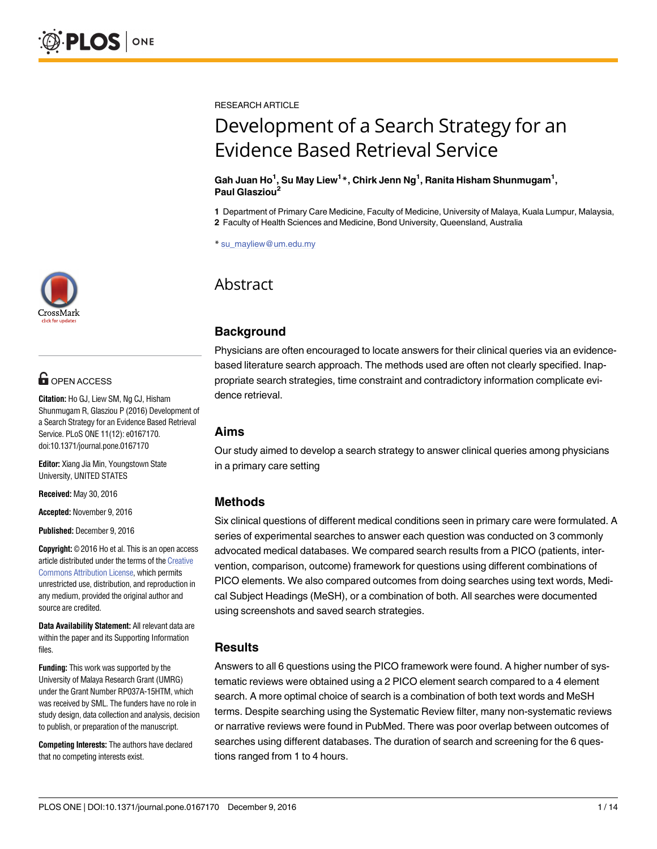

# **OPEN ACCESS**

**Citation:** Ho GJ, Liew SM, Ng CJ, Hisham Shunmugam R, Glasziou P (2016) Development of a Search Strategy for an Evidence Based Retrieval Service. PLoS ONE 11(12): e0167170. doi:10.1371/journal.pone.0167170

**Editor:** Xiang Jia Min, Youngstown State University, UNITED STATES

**Received:** May 30, 2016

**Accepted:** November 9, 2016

**Published:** December 9, 2016

**Copyright:** © 2016 Ho et al. This is an open access article distributed under the terms of the [Creative](http://creativecommons.org/licenses/by/4.0/) [Commons](http://creativecommons.org/licenses/by/4.0/) Attribution License, which permits unrestricted use, distribution, and reproduction in any medium, provided the original author and source are credited.

**Data Availability Statement:** All relevant data are within the paper and its Supporting Information files.

**Funding:** This work was supported by the University of Malaya Research Grant (UMRG) under the Grant Number RP037A-15HTM, which was received by SML. The funders have no role in study design, data collection and analysis, decision to publish, or preparation of the manuscript.

**Competing Interests:** The authors have declared that no competing interests exist.

RESEARCH ARTICLE

# Development of a Search Strategy for an Evidence Based Retrieval Service

#### **Gah Juan Ho1 , Su May Liew1 \*, Chirk Jenn Ng1 , Ranita Hisham Shunmugam1 , Paul Glasziou2**

**1** Department of Primary Care Medicine, Faculty of Medicine, University of Malaya, Kuala Lumpur, Malaysia,

**2** Faculty of Health Sciences and Medicine, Bond University, Queensland, Australia

\* su\_mayliew@um.edu.my

# Abstract

# **Background**

Physicians are often encouraged to locate answers for their clinical queries via an evidencebased literature search approach. The methods used are often not clearly specified. Inappropriate search strategies, time constraint and contradictory information complicate evidence retrieval.

## **Aims**

Our study aimed to develop a search strategy to answer clinical queries among physicians in a primary care setting

# **Methods**

Six clinical questions of different medical conditions seen in primary care were formulated. A series of experimental searches to answer each question was conducted on 3 commonly advocated medical databases. We compared search results from a PICO (patients, intervention, comparison, outcome) framework for questions using different combinations of PICO elements. We also compared outcomes from doing searches using text words, Medical Subject Headings (MeSH), or a combination of both. All searches were documented using screenshots and saved search strategies.

# **Results**

Answers to all 6 questions using the PICO framework were found. A higher number of systematic reviews were obtained using a 2 PICO element search compared to a 4 element search. A more optimal choice of search is a combination of both text words and MeSH terms. Despite searching using the Systematic Review filter, many non-systematic reviews or narrative reviews were found in PubMed. There was poor overlap between outcomes of searches using different databases. The duration of search and screening for the 6 questions ranged from 1 to 4 hours.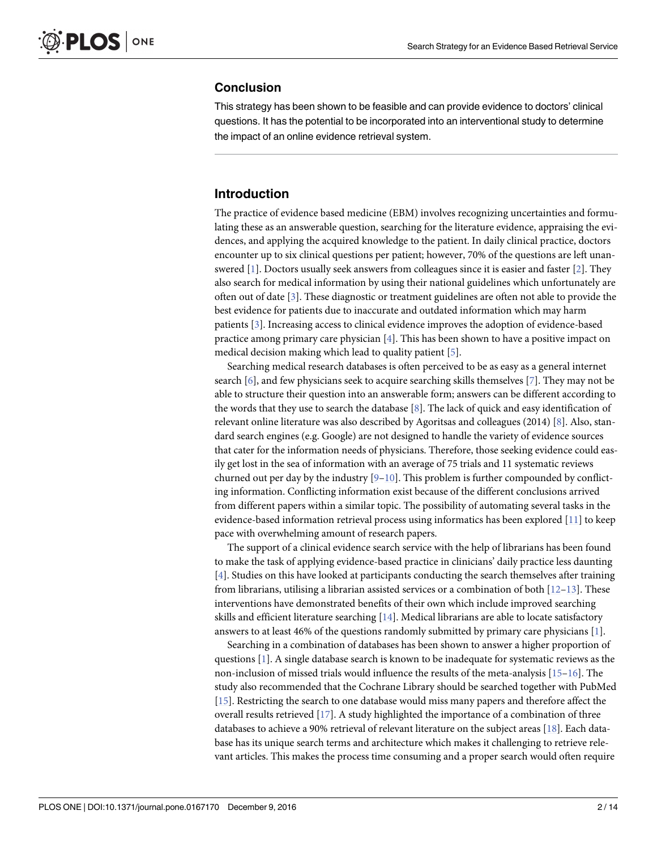#### <span id="page-2-0"></span>**Conclusion**

This strategy has been shown to be feasible and can provide evidence to doctors' clinical questions. It has the potential to be incorporated into an interventional study to determine the impact of an online evidence retrieval system.

### **Introduction**

The practice of evidence based medicine (EBM) involves recognizing uncertainties and formulating these as an answerable question, searching for the literature evidence, appraising the evidences, and applying the acquired knowledge to the patient. In daily clinical practice, doctors encounter up to six clinical questions per patient; however, 70% of the questions are left unanswered [[1](#page-13-0)]. Doctors usually seek answers from colleagues since it is easier and faster [\[2\]](#page-13-0). They also search for medical information by using their national guidelines which unfortunately are often out of date [\[3\]](#page-13-0). These diagnostic or treatment guidelines are often not able to provide the best evidence for patients due to inaccurate and outdated information which may harm patients [\[3\]](#page-13-0). Increasing access to clinical evidence improves the adoption of evidence-based practice among primary care physician [[4](#page-13-0)]. This has been shown to have a positive impact on medical decision making which lead to quality patient [[5\]](#page-13-0).

Searching medical research databases is often perceived to be as easy as a general internet search  $[6]$ , and few physicians seek to acquire searching skills themselves  $[7]$  $[7]$  $[7]$ . They may not be able to structure their question into an answerable form; answers can be different according to the words that they use to search the database [\[8\]](#page-13-0). The lack of quick and easy identification of relevant online literature was also described by Agoritsas and colleagues (2014) [[8\]](#page-13-0). Also, standard search engines (e.g. Google) are not designed to handle the variety of evidence sources that cater for the information needs of physicians. Therefore, those seeking evidence could easily get lost in the sea of information with an average of 75 trials and 11 systematic reviews churned out per day by the industry  $[9-10]$  $[9-10]$  $[9-10]$  $[9-10]$  $[9-10]$ . This problem is further compounded by conflicting information. Conflicting information exist because of the different conclusions arrived from different papers within a similar topic. The possibility of automating several tasks in the evidence-based information retrieval process using informatics has been explored [[11](#page-14-0)] to keep pace with overwhelming amount of research papers.

The support of a clinical evidence search service with the help of librarians has been found to make the task of applying evidence-based practice in clinicians' daily practice less daunting [\[4](#page-13-0)]. Studies on this have looked at participants conducting the search themselves after training from librarians, utilising a librarian assisted services or a combination of both  $[12–13]$  $[12–13]$ . These interventions have demonstrated benefits of their own which include improved searching skills and efficient literature searching [\[14\]](#page-14-0). Medical librarians are able to locate satisfactory answers to at least 46% of the questions randomly submitted by primary care physicians [\[1\]](#page-13-0).

Searching in a combination of databases has been shown to answer a higher proportion of questions [[1](#page-13-0)]. A single database search is known to be inadequate for systematic reviews as the non-inclusion of missed trials would influence the results of the meta-analysis [\[15–16\]](#page-14-0). The study also recommended that the Cochrane Library should be searched together with PubMed [\[15\]](#page-14-0). Restricting the search to one database would miss many papers and therefore affect the overall results retrieved [\[17\]](#page-14-0). A study highlighted the importance of a combination of three databases to achieve a 90% retrieval of relevant literature on the subject areas [[18](#page-14-0)]. Each database has its unique search terms and architecture which makes it challenging to retrieve relevant articles. This makes the process time consuming and a proper search would often require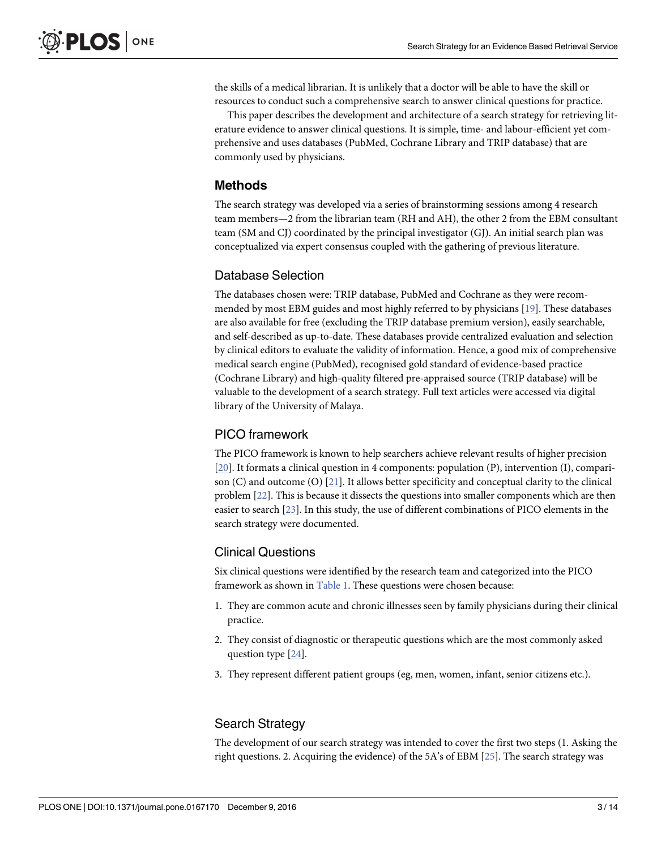<span id="page-3-0"></span>the skills of a medical librarian. It is unlikely that a doctor will be able to have the skill or resources to conduct such a comprehensive search to answer clinical questions for practice.

This paper describes the development and architecture of a search strategy for retrieving literature evidence to answer clinical questions. It is simple, time- and labour-efficient yet comprehensive and uses databases (PubMed, Cochrane Library and TRIP database) that are commonly used by physicians.

#### **Methods**

The search strategy was developed via a series of brainstorming sessions among 4 research team members—2 from the librarian team (RH and AH), the other 2 from the EBM consultant team (SM and CJ) coordinated by the principal investigator (GJ). An initial search plan was conceptualized via expert consensus coupled with the gathering of previous literature.

#### Database Selection

The databases chosen were: TRIP database, PubMed and Cochrane as they were recommended by most EBM guides and most highly referred to by physicians [\[19\]](#page-14-0). These databases are also available for free (excluding the TRIP database premium version), easily searchable, and self-described as up-to-date. These databases provide centralized evaluation and selection by clinical editors to evaluate the validity of information. Hence, a good mix of comprehensive medical search engine (PubMed), recognised gold standard of evidence-based practice (Cochrane Library) and high-quality filtered pre-appraised source (TRIP database) will be valuable to the development of a search strategy. Full text articles were accessed via digital library of the University of Malaya.

#### PICO framework

The PICO framework is known to help searchers achieve relevant results of higher precision [\[20\]](#page-14-0). It formats a clinical question in 4 components: population (P), intervention (I), comparison (C) and outcome (O) [\[21\]](#page-14-0). It allows better specificity and conceptual clarity to the clinical problem [[22](#page-14-0)]. This is because it dissects the questions into smaller components which are then easier to search [\[23\]](#page-14-0). In this study, the use of different combinations of PICO elements in the search strategy were documented.

#### Clinical Questions

Six clinical questions were identified by the research team and categorized into the PICO framework as shown in [Table](#page-4-0) 1. These questions were chosen because:

- 1. They are common acute and chronic illnesses seen by family physicians during their clinical practice.
- 2. They consist of diagnostic or therapeutic questions which are the most commonly asked question type [\[24\]](#page-14-0).
- 3. They represent different patient groups (eg, men, women, infant, senior citizens etc.).

#### Search Strategy

The development of our search strategy was intended to cover the first two steps (1. Asking the right questions. 2. Acquiring the evidence) of the 5A's of EBM [[25](#page-14-0)]. The search strategy was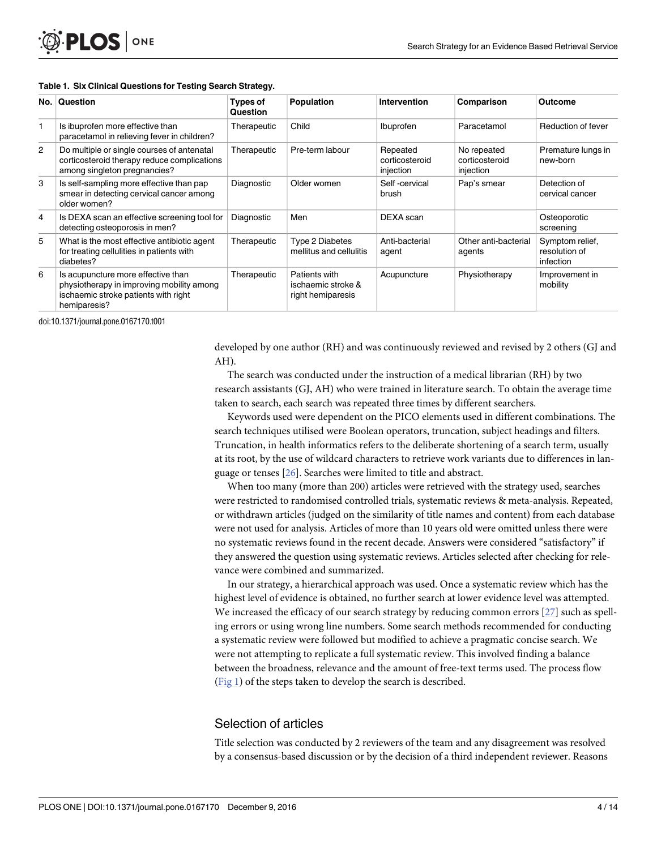#### <span id="page-4-0"></span>**[Table](#page-3-0) 1. Six Clinical Questions for Testing Search Strategy.**

| No. | Question                                                                                                                                | <b>Types of</b><br>Question | Population                                               | <b>Intervention</b>                     | Comparison                                 | Outcome                                       |
|-----|-----------------------------------------------------------------------------------------------------------------------------------------|-----------------------------|----------------------------------------------------------|-----------------------------------------|--------------------------------------------|-----------------------------------------------|
|     | Is ibuprofen more effective than<br>paracetamol in relieving fever in children?                                                         | Therapeutic                 | Child                                                    | Ibuprofen                               | Paracetamol                                | Reduction of fever                            |
| 2   | Do multiple or single courses of antenatal<br>corticosteroid therapy reduce complications<br>among singleton pregnancies?               | Therapeutic                 | Pre-term labour                                          | Repeated<br>corticosteroid<br>injection | No repeated<br>corticosteroid<br>injection | Premature lungs in<br>new-born                |
| 3   | Is self-sampling more effective than pap<br>smear in detecting cervical cancer among<br>older women?                                    | Diagnostic                  | Older women                                              | Self-cervical<br>brush                  | Pap's smear                                | Detection of<br>cervical cancer               |
| 4   | Is DEXA scan an effective screening tool for<br>detecting osteoporosis in men?                                                          | Diagnostic                  | Men                                                      | DEXA scan                               |                                            | Osteoporotic<br>screening                     |
| 5   | What is the most effective antibiotic agent<br>for treating cellulities in patients with<br>diabetes?                                   | Therapeutic                 | Type 2 Diabetes<br>mellitus and cellulitis               | Anti-bacterial<br>agent                 | Other anti-bacterial<br>agents             | Symptom relief,<br>resolution of<br>infection |
| 6   | Is acupuncture more effective than<br>physiotherapy in improving mobility among<br>ischaemic stroke patients with right<br>hemiparesis? | Therapeutic                 | Patients with<br>ischaemic stroke &<br>right hemiparesis | Acupuncture                             | Physiotherapy                              | Improvement in<br>mobility                    |

doi:10.1371/journal.pone.0167170.t001

developed by one author (RH) and was continuously reviewed and revised by 2 others (GJ and AH).

The search was conducted under the instruction of a medical librarian (RH) by two research assistants (GJ, AH) who were trained in literature search. To obtain the average time taken to search, each search was repeated three times by different searchers.

Keywords used were dependent on the PICO elements used in different combinations. The search techniques utilised were Boolean operators, truncation, subject headings and filters. Truncation, in health informatics refers to the deliberate shortening of a search term, usually at its root, by the use of wildcard characters to retrieve work variants due to differences in language or tenses [\[26\]](#page-14-0). Searches were limited to title and abstract.

When too many (more than 200) articles were retrieved with the strategy used, searches were restricted to randomised controlled trials, systematic reviews & meta-analysis. Repeated, or withdrawn articles (judged on the similarity of title names and content) from each database were not used for analysis. Articles of more than 10 years old were omitted unless there were no systematic reviews found in the recent decade. Answers were considered "satisfactory" if they answered the question using systematic reviews. Articles selected after checking for relevance were combined and summarized.

In our strategy, a hierarchical approach was used. Once a systematic review which has the highest level of evidence is obtained, no further search at lower evidence level was attempted. We increased the efficacy of our search strategy by reducing common errors [[27](#page-14-0)] such as spelling errors or using wrong line numbers. Some search methods recommended for conducting a systematic review were followed but modified to achieve a pragmatic concise search. We were not attempting to replicate a full systematic review. This involved finding a balance between the broadness, relevance and the amount of free-text terms used. The process flow [\(Fig](#page-5-0) 1) of the steps taken to develop the search is described.

#### Selection of articles

Title selection was conducted by 2 reviewers of the team and any disagreement was resolved by a consensus-based discussion or by the decision of a third independent reviewer. Reasons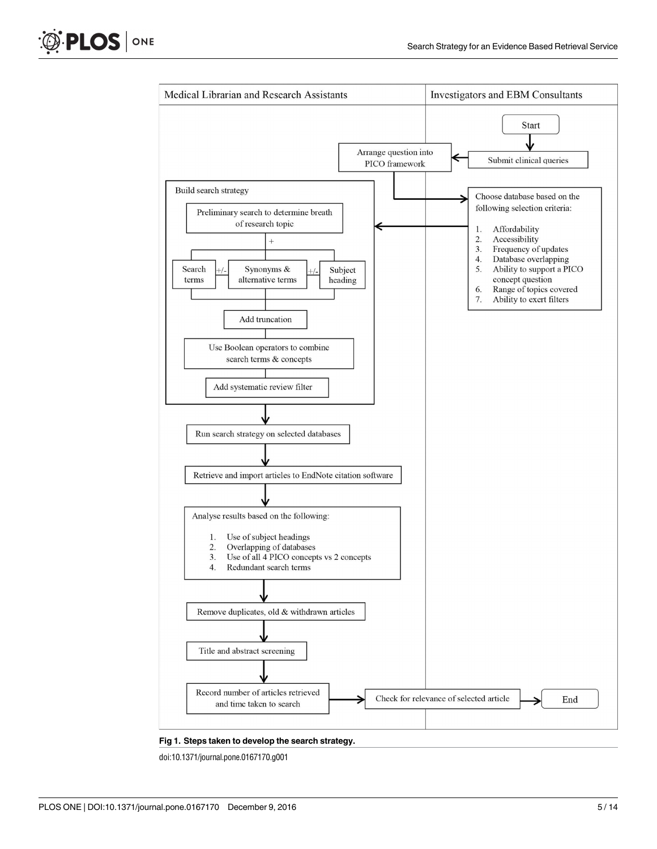<span id="page-5-0"></span>



**[Fig](#page-4-0) 1. Steps taken to develop the search strategy.**

doi:10.1371/journal.pone.0167170.g001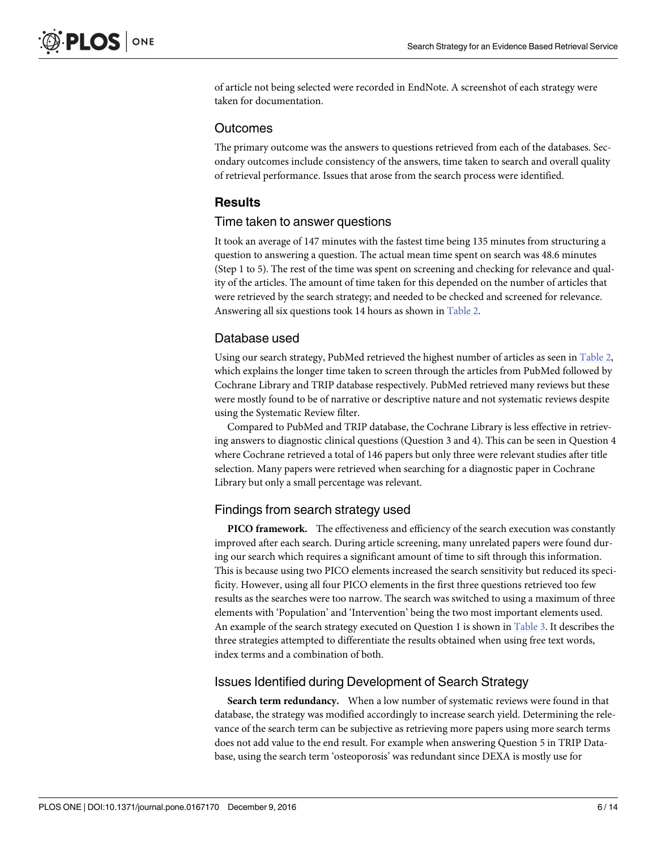<span id="page-6-0"></span>of article not being selected were recorded in EndNote. A screenshot of each strategy were taken for documentation.

#### **Outcomes**

The primary outcome was the answers to questions retrieved from each of the databases. Secondary outcomes include consistency of the answers, time taken to search and overall quality of retrieval performance. Issues that arose from the search process were identified.

#### **Results**

#### Time taken to answer questions

It took an average of 147 minutes with the fastest time being 135 minutes from structuring a question to answering a question. The actual mean time spent on search was 48.6 minutes (Step 1 to 5). The rest of the time was spent on screening and checking for relevance and quality of the articles. The amount of time taken for this depended on the number of articles that were retrieved by the search strategy; and needed to be checked and screened for relevance. Answering all six questions took 14 hours as shown in [Table](#page-7-0) 2.

#### Database used

Using our search strategy, PubMed retrieved the highest number of articles as seen in [Table](#page-7-0) 2, which explains the longer time taken to screen through the articles from PubMed followed by Cochrane Library and TRIP database respectively. PubMed retrieved many reviews but these were mostly found to be of narrative or descriptive nature and not systematic reviews despite using the Systematic Review filter.

Compared to PubMed and TRIP database, the Cochrane Library is less effective in retrieving answers to diagnostic clinical questions (Question 3 and 4). This can be seen in Question 4 where Cochrane retrieved a total of 146 papers but only three were relevant studies after title selection. Many papers were retrieved when searching for a diagnostic paper in Cochrane Library but only a small percentage was relevant.

#### Findings from search strategy used

**PICO framework.** The effectiveness and efficiency of the search execution was constantly improved after each search. During article screening, many unrelated papers were found during our search which requires a significant amount of time to sift through this information. This is because using two PICO elements increased the search sensitivity but reduced its specificity. However, using all four PICO elements in the first three questions retrieved too few results as the searches were too narrow. The search was switched to using a maximum of three elements with 'Population' and 'Intervention' being the two most important elements used. An example of the search strategy executed on Question 1 is shown in [Table](#page-8-0) 3. It describes the three strategies attempted to differentiate the results obtained when using free text words, index terms and a combination of both.

#### Issues Identified during Development of Search Strategy

**Search term redundancy.** When a low number of systematic reviews were found in that database, the strategy was modified accordingly to increase search yield. Determining the relevance of the search term can be subjective as retrieving more papers using more search terms does not add value to the end result. For example when answering Question 5 in TRIP Database, using the search term 'osteoporosis' was redundant since DEXA is mostly use for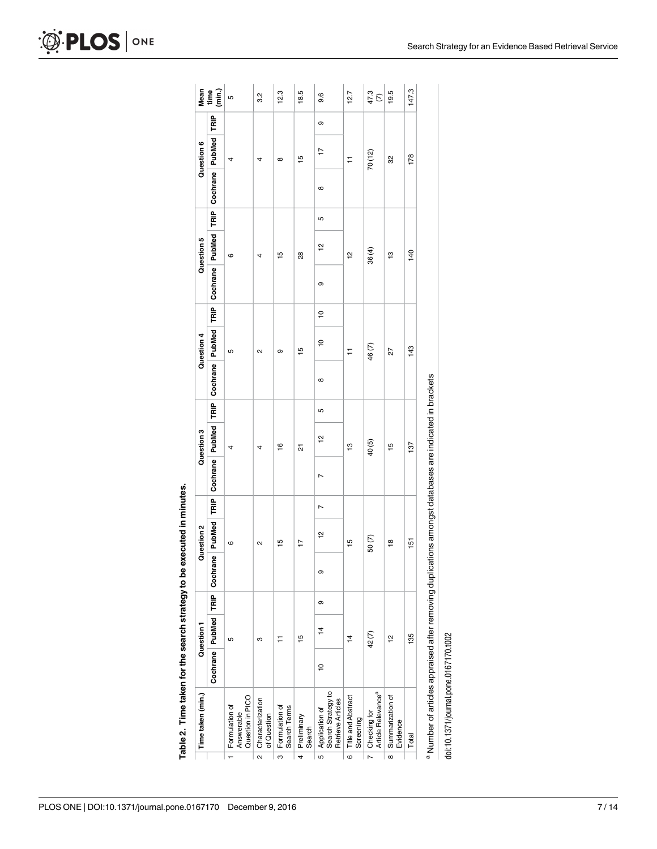<span id="page-7-0"></span>

|                         | Time taken (min.)                                                                                      |                | Question 1     |   |                                     | Question 2     |                |                             | Question 3     |   |                                           | Question 4     |               |   | Question 5    |             |                 | Question 6    |             | Mean                  |
|-------------------------|--------------------------------------------------------------------------------------------------------|----------------|----------------|---|-------------------------------------|----------------|----------------|-----------------------------|----------------|---|-------------------------------------------|----------------|---------------|---|---------------|-------------|-----------------|---------------|-------------|-----------------------|
|                         |                                                                                                        |                |                |   | Cochrane   PubMed   TRIP   Cochrane |                |                | PubMed TRIP Cochrane PubMed |                |   | TRIP Cochrane PubMed TRIP Cochrane PubMed |                |               |   |               | FE <u>I</u> | Cochrane PubMed |               | <b>TRIP</b> | $\lim_{m \to \infty}$ |
|                         | Question in PICO<br>Formulation of<br>Answerable                                                       |                | 5              |   |                                     | 6              |                |                             | 4              |   |                                           | Ю              |               |   | 6             |             |                 | 4             |             | ယ                     |
| $\overline{\mathbf{a}}$ | Characterization<br>of Question                                                                        |                | ო              |   |                                     | $\sim$         |                |                             | 4              |   |                                           | $\sim$         |               |   |               |             |                 | 4             |             | 3.2                   |
| ్ల                      | Formulation of<br>Search Terms                                                                         |                |                |   |                                     | $\frac{15}{1}$ |                |                             | $\frac{6}{1}$  |   |                                           | တ              |               |   | $\frac{5}{1}$ |             |                 | $\infty$      |             | 12.3                  |
| 4                       | Preliminary<br>Search                                                                                  |                | $\frac{15}{2}$ |   |                                     | $\overline{1}$ |                |                             | 21             |   |                                           | $\frac{5}{1}$  |               |   | 28            |             |                 | $\frac{5}{2}$ |             | 18.5                  |
| 5                       | Search Strategy to<br>Retrieve Articles<br>Application of                                              | $\overline{a}$ | $\overline{4}$ | თ | თ                                   | $\frac{1}{2}$  | $\overline{ }$ | Z                           | $\frac{1}{2}$  | Ю | $\infty$                                  | $\overline{a}$ | $\frac{1}{2}$ | თ | $\frac{1}{2}$ | 5           | ∞               | 17            | თ           | 9.6                   |
| $\overline{6}$          | Title and Abstract<br>Screening                                                                        |                | $\frac{4}{4}$  |   |                                     | 15             |                |                             | ဗ္             |   |                                           | $\overline{1}$ |               |   | $\frac{1}{2}$ |             |                 | Ξ             |             | 12.7                  |
|                         | Checking for<br>Article Relevance <sup>a</sup>                                                         |                | 42(7)          |   |                                     | 50(7)          |                |                             | 40(5)          |   |                                           | 46(7)          |               |   | 36(4)         |             |                 | 70 (12)       |             | 47.3<br>(7)           |
| $\overline{\bullet}$    | Summarization of<br>Evidence                                                                           |                | $\frac{1}{2}$  |   |                                     | $\frac{8}{1}$  |                |                             | $\frac{15}{2}$ |   |                                           | 27             |               |   | $\frac{3}{2}$ |             |                 | 32            |             | 19.5                  |
|                         | Total                                                                                                  |                | 135            |   |                                     | 151            |                |                             | 137            |   |                                           | 143            |               |   | 140           |             |                 | 178           |             | 147.3                 |
|                         | a Number of articles appraised after removing duplications amongst databases are indicated in brackets |                |                |   |                                     |                |                |                             |                |   |                                           |                |               |   |               |             |                 |               |             |                       |

Table 2. Time taken for the search strategy to be executed in minutes. **[Table](#page-6-0) 2. Time taken for the search strategy to be executed in minutes.**

Number of articles appraised after removing duplications amongst databases are indicated in brackets

doi:10.1371/journal.pone.0167170.t002 doi:10.1371/journal.pone.0167170.t002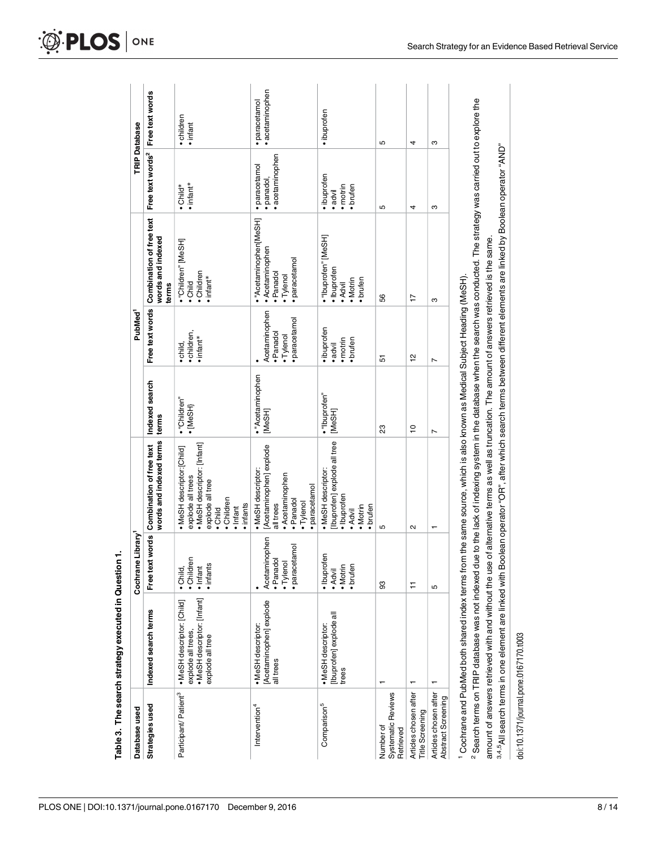<span id="page-8-0"></span>

| Database used                                   |                                                                                                     | e Library <sup>1</sup><br>Cochran                      |                                                                                                                                                                                                                                                                                                                      |                            | PubMed <sup>1</sup>                                    |                                                                                 |                                              | <b>TRIP Database</b>             |
|-------------------------------------------------|-----------------------------------------------------------------------------------------------------|--------------------------------------------------------|----------------------------------------------------------------------------------------------------------------------------------------------------------------------------------------------------------------------------------------------------------------------------------------------------------------------|----------------------------|--------------------------------------------------------|---------------------------------------------------------------------------------|----------------------------------------------|----------------------------------|
| Strategies used                                 | Indexed search terms                                                                                | Free text words                                        | words and indexed terms<br>Combination of free text                                                                                                                                                                                                                                                                  | Indexed search<br>terms    | Free text words                                        | Combination of free text<br>words and indexed<br>terms                          | Free text words <sup>2</sup> Free text words |                                  |
| Participant/Patient <sup>3</sup>                | • MeSH descriptor: [Infant]<br>• MeSH descriptor: [Child]<br>explode all trees,<br>explode all tree | · Children<br>• infants<br>· Child,<br>$\cdot$ Infant  | · MeSH descriptor: [Infant]<br>MeSH descriptor:[Child]<br>explode all trees<br>explode all tree<br>· Children<br>· infants<br>• Infant<br>· Child                                                                                                                                                                    | • "Children"<br>·[MeSH]    | · children,<br>• infant*<br>· child,                   | • "Children" [MeSH]<br>• Children<br>infant*<br>· Child                         | • infant*<br>·Child*                         | · children<br>• infant           |
| Intervention <sup>4</sup>                       | [Acetaminophen] explode<br>• MeSH descriptor:<br>all trees                                          | Acetaminophen<br>paracetamol<br>· Panadol<br>• Tylenol | [Acetaminophen] explode<br>• MeSH descriptor:<br>· Acetaminophen<br>· paracetamol<br>· Panadol<br>• Tylenol<br>all trees                                                                                                                                                                                             | · "Acetaminophen<br>[MeSH] | Acetaminophen<br>paracetamol<br>· Panadol<br>• Tylenol | ·"Acetaminophen[MeSH]<br>• Acetaminophen<br>paracetamol<br>Panadol<br>· Tylenol | acetaminophen<br>· paracetamol<br>· panadol, | · acetaminophen<br>· paracetamol |
| Comparison <sup>5</sup>                         | [Ibuprofen] explode al<br>• MeSH descriptor:<br>trees                                               | · Ibuprofen<br>brufen<br>• Motrin<br>· Advil           | Ibuprofen] explode all tree<br>· MeSH descriptor:<br>· Ibuprofen<br>· Motrin<br>brufen<br>· Advil                                                                                                                                                                                                                    | ·"Ibuprofen"<br>[MeSH]     | • ibuprofen<br>· brufen<br>• motrin<br>• advil         | ·"Ibuprofen" [MeSH]<br>·lbuprofen<br>• Motrin<br>brufen<br>· Advil              | ·ibuprofen<br>brufen<br>· motrin<br>·advil   | ·ibuprofen                       |
| Systematic Reviews<br>Number of<br>Retrieved    |                                                                                                     | 83                                                     | 5                                                                                                                                                                                                                                                                                                                    | 23                         | 5                                                      | 56                                                                              | Б                                            | Б                                |
| Articles chosen after<br><b>Title Screening</b> |                                                                                                     | Ξ                                                      | $\sim$                                                                                                                                                                                                                                                                                                               | <u>۽</u>                   | 얻                                                      | $\overline{1}$                                                                  | 4                                            | 4                                |
| Articles chosen after<br>Abstract Screening     |                                                                                                     | Ю                                                      | ↽                                                                                                                                                                                                                                                                                                                    | L                          | $\overline{ }$                                         | ო                                                                               | ო                                            | ო                                |
|                                                 |                                                                                                     |                                                        | Search terms on TRIP database was not indexed due to the lack of indexing system in the database when the search was conducted. The strategy was carried out to explore the<br><sup>1</sup> Cochrane and PubMed both shared index terms from the same source, which is also known as Medical Subject Heading (MeSH). |                            |                                                        |                                                                                 |                                              |                                  |
|                                                 |                                                                                                     |                                                        | 34.5All search terms in one element are linked with Boolean operator "OR", after which search terms between different elements are linked by Boolean operator "AND"<br>amount of answers retrieved with and without the use of alternative terms as well as truncation. The amount of answers retrieved is the same. |                            |                                                        |                                                                                 |                                              |                                  |

doi:10.1371/journal.pone.0167170.t003

doi:10.1371/journal.pone.0167170.t003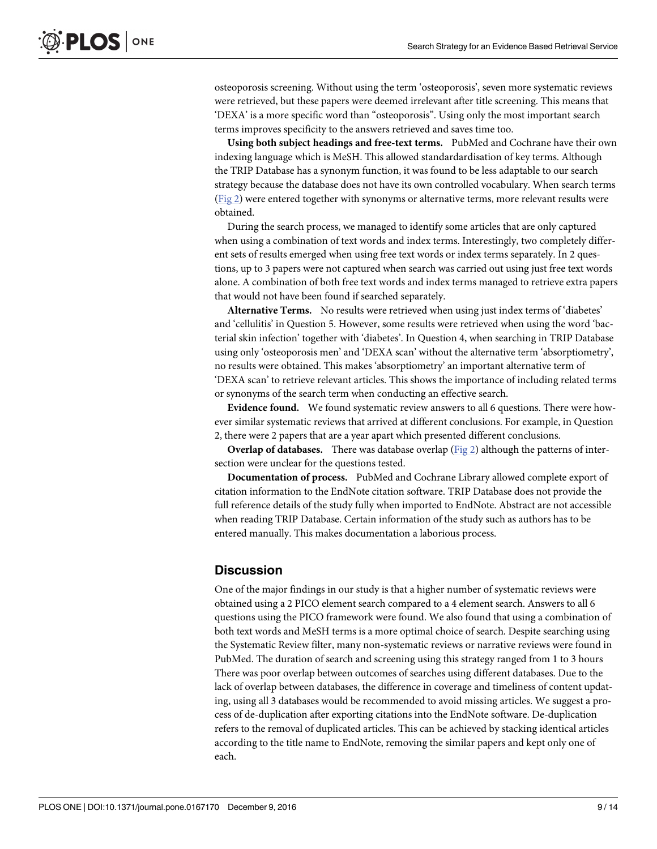<span id="page-9-0"></span>osteoporosis screening. Without using the term 'osteoporosis', seven more systematic reviews were retrieved, but these papers were deemed irrelevant after title screening. This means that 'DEXA' is a more specific word than "osteoporosis". Using only the most important search terms improves specificity to the answers retrieved and saves time too.

**Using both subject headings and free-text terms.** PubMed and Cochrane have their own indexing language which is MeSH. This allowed standardardisation of key terms. Although the TRIP Database has a synonym function, it was found to be less adaptable to our search strategy because the database does not have its own controlled vocabulary. When search terms [\(Fig](#page-10-0) 2) were entered together with synonyms or alternative terms, more relevant results were obtained.

During the search process, we managed to identify some articles that are only captured when using a combination of text words and index terms. Interestingly, two completely different sets of results emerged when using free text words or index terms separately. In 2 questions, up to 3 papers were not captured when search was carried out using just free text words alone. A combination of both free text words and index terms managed to retrieve extra papers that would not have been found if searched separately.

**Alternative Terms.** No results were retrieved when using just index terms of 'diabetes' and 'cellulitis' in Question 5. However, some results were retrieved when using the word 'bacterial skin infection' together with 'diabetes'. In Question 4, when searching in TRIP Database using only 'osteoporosis men' and 'DEXA scan' without the alternative term 'absorptiometry', no results were obtained. This makes 'absorptiometry' an important alternative term of 'DEXA scan' to retrieve relevant articles. This shows the importance of including related terms or synonyms of the search term when conducting an effective search.

**Evidence found.** We found systematic review answers to all 6 questions. There were however similar systematic reviews that arrived at different conclusions. For example, in Question 2, there were 2 papers that are a year apart which presented different conclusions.

**Overlap of databases.** There was database overlap [\(Fig](#page-10-0) 2) although the patterns of intersection were unclear for the questions tested.

**Documentation of process.** PubMed and Cochrane Library allowed complete export of citation information to the EndNote citation software. TRIP Database does not provide the full reference details of the study fully when imported to EndNote. Abstract are not accessible when reading TRIP Database. Certain information of the study such as authors has to be entered manually. This makes documentation a laborious process.

#### **Discussion**

One of the major findings in our study is that a higher number of systematic reviews were obtained using a 2 PICO element search compared to a 4 element search. Answers to all 6 questions using the PICO framework were found. We also found that using a combination of both text words and MeSH terms is a more optimal choice of search. Despite searching using the Systematic Review filter, many non-systematic reviews or narrative reviews were found in PubMed. The duration of search and screening using this strategy ranged from 1 to 3 hours There was poor overlap between outcomes of searches using different databases. Due to the lack of overlap between databases, the difference in coverage and timeliness of content updating, using all 3 databases would be recommended to avoid missing articles. We suggest a process of de-duplication after exporting citations into the EndNote software. De-duplication refers to the removal of duplicated articles. This can be achieved by stacking identical articles according to the title name to EndNote, removing the similar papers and kept only one of each.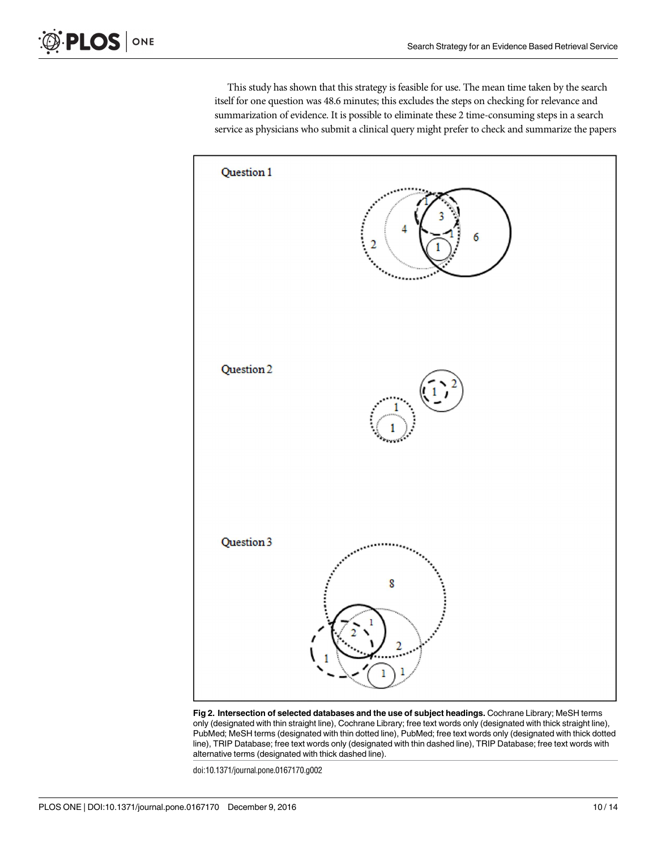<span id="page-10-0"></span>This study has shown that this strategy is feasible for use. The mean time taken by the search itself for one question was 48.6 minutes; this excludes the steps on checking for relevance and summarization of evidence. It is possible to eliminate these 2 time-consuming steps in a search service as physicians who submit a clinical query might prefer to check and summarize the papers



**[Fig](#page-9-0) 2. Intersection of selected databases and the use of subject headings.** Cochrane Library; MeSH terms only (designated with thin straight line), Cochrane Library; free text words only (designated with thick straight line), PubMed; MeSH terms (designated with thin dotted line), PubMed; free text words only (designated with thick dotted line), TRIP Database; free text words only (designated with thin dashed line), TRIP Database; free text words with alternative terms (designated with thick dashed line).

doi:10.1371/journal.pone.0167170.g002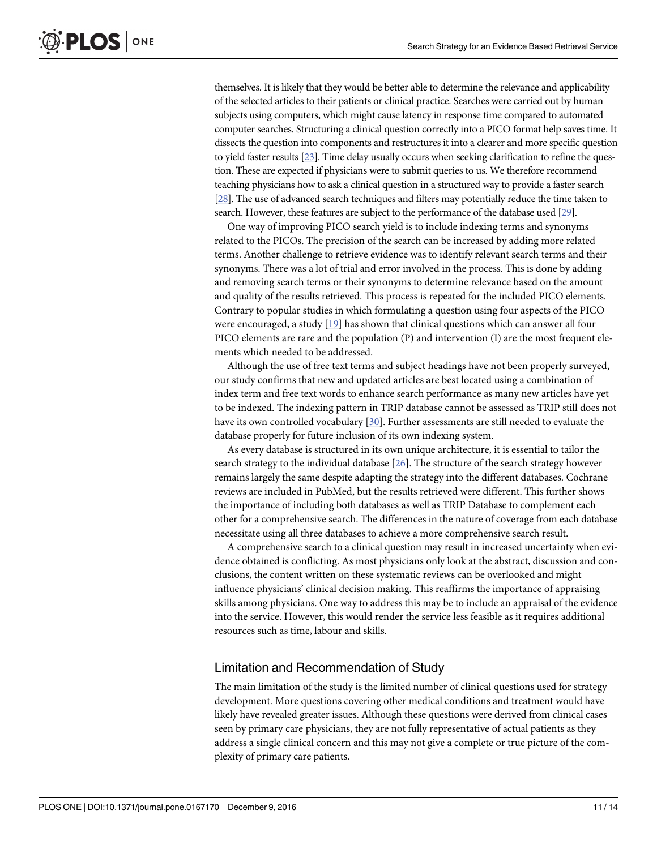<span id="page-11-0"></span>themselves. It is likely that they would be better able to determine the relevance and applicability of the selected articles to their patients or clinical practice. Searches were carried out by human subjects using computers, which might cause latency in response time compared to automated computer searches. Structuring a clinical question correctly into a PICO format help saves time. It dissects the question into components and restructures it into a clearer and more specific question to yield faster results [[23\]](#page-14-0). Time delay usually occurs when seeking clarification to refine the question. These are expected if physicians were to submit queries to us. We therefore recommend teaching physicians how to ask a clinical question in a structured way to provide a faster search [\[28](#page-14-0)]. The use of advanced search techniques and filters may potentially reduce the time taken to search. However, these features are subject to the performance of the database used [\[29\]](#page-14-0).

One way of improving PICO search yield is to include indexing terms and synonyms related to the PICOs. The precision of the search can be increased by adding more related terms. Another challenge to retrieve evidence was to identify relevant search terms and their synonyms. There was a lot of trial and error involved in the process. This is done by adding and removing search terms or their synonyms to determine relevance based on the amount and quality of the results retrieved. This process is repeated for the included PICO elements. Contrary to popular studies in which formulating a question using four aspects of the PICO were encouraged, a study [\[19\]](#page-14-0) has shown that clinical questions which can answer all four PICO elements are rare and the population (P) and intervention (I) are the most frequent elements which needed to be addressed.

Although the use of free text terms and subject headings have not been properly surveyed, our study confirms that new and updated articles are best located using a combination of index term and free text words to enhance search performance as many new articles have yet to be indexed. The indexing pattern in TRIP database cannot be assessed as TRIP still does not have its own controlled vocabulary [\[30\]](#page-14-0). Further assessments are still needed to evaluate the database properly for future inclusion of its own indexing system.

As every database is structured in its own unique architecture, it is essential to tailor the search strategy to the individual database [[26\]](#page-14-0). The structure of the search strategy however remains largely the same despite adapting the strategy into the different databases. Cochrane reviews are included in PubMed, but the results retrieved were different. This further shows the importance of including both databases as well as TRIP Database to complement each other for a comprehensive search. The differences in the nature of coverage from each database necessitate using all three databases to achieve a more comprehensive search result.

A comprehensive search to a clinical question may result in increased uncertainty when evidence obtained is conflicting. As most physicians only look at the abstract, discussion and conclusions, the content written on these systematic reviews can be overlooked and might influence physicians' clinical decision making. This reaffirms the importance of appraising skills among physicians. One way to address this may be to include an appraisal of the evidence into the service. However, this would render the service less feasible as it requires additional resources such as time, labour and skills.

#### Limitation and Recommendation of Study

The main limitation of the study is the limited number of clinical questions used for strategy development. More questions covering other medical conditions and treatment would have likely have revealed greater issues. Although these questions were derived from clinical cases seen by primary care physicians, they are not fully representative of actual patients as they address a single clinical concern and this may not give a complete or true picture of the complexity of primary care patients.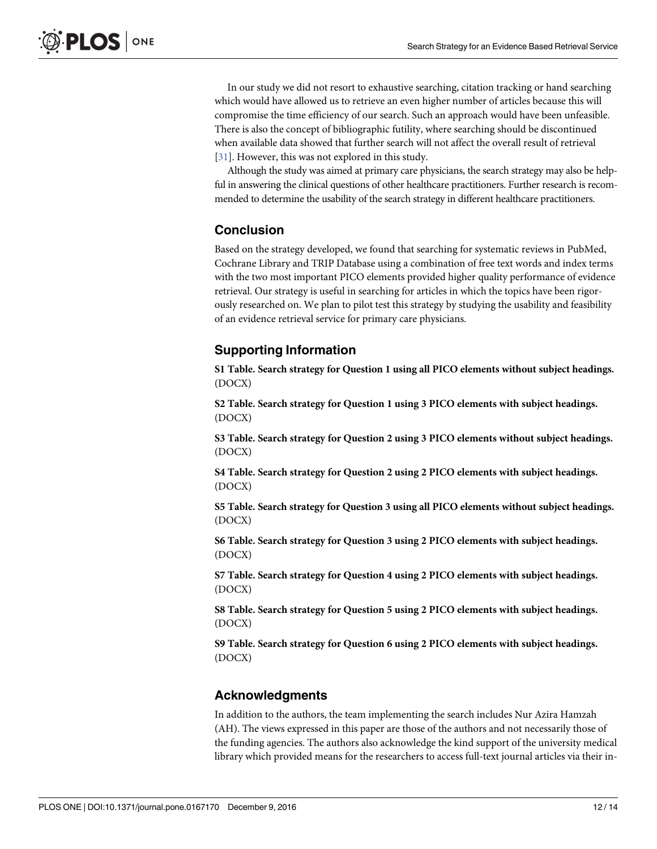<span id="page-12-0"></span>In our study we did not resort to exhaustive searching, citation tracking or hand searching which would have allowed us to retrieve an even higher number of articles because this will compromise the time efficiency of our search. Such an approach would have been unfeasible. There is also the concept of bibliographic futility, where searching should be discontinued when available data showed that further search will not affect the overall result of retrieval [\[31\]](#page-14-0). However, this was not explored in this study.

Although the study was aimed at primary care physicians, the search strategy may also be helpful in answering the clinical questions of other healthcare practitioners. Further research is recommended to determine the usability of the search strategy in different healthcare practitioners.

#### **Conclusion**

Based on the strategy developed, we found that searching for systematic reviews in PubMed, Cochrane Library and TRIP Database using a combination of free text words and index terms with the two most important PICO elements provided higher quality performance of evidence retrieval. Our strategy is useful in searching for articles in which the topics have been rigorously researched on. We plan to pilot test this strategy by studying the usability and feasibility of an evidence retrieval service for primary care physicians.

#### **Supporting Information**

**S1 [Table.](http://www.plosone.org/article/fetchSingleRepresentation.action?uri=info:doi/10.1371/journal.pone.0167170.s001) Search strategy for Question 1 using all PICO elements without subject headings.** (DOCX)

**S2 [Table.](http://www.plosone.org/article/fetchSingleRepresentation.action?uri=info:doi/10.1371/journal.pone.0167170.s002) Search strategy for Question 1 using 3 PICO elements with subject headings.** (DOCX)

**S3 [Table.](http://www.plosone.org/article/fetchSingleRepresentation.action?uri=info:doi/10.1371/journal.pone.0167170.s003) Search strategy for Question 2 using 3 PICO elements without subject headings.** (DOCX)

**S4 [Table.](http://www.plosone.org/article/fetchSingleRepresentation.action?uri=info:doi/10.1371/journal.pone.0167170.s004) Search strategy for Question 2 using 2 PICO elements with subject headings.** (DOCX)

**S5 [Table.](http://www.plosone.org/article/fetchSingleRepresentation.action?uri=info:doi/10.1371/journal.pone.0167170.s005) Search strategy for Question 3 using all PICO elements without subject headings.** (DOCX)

**S6 [Table.](http://www.plosone.org/article/fetchSingleRepresentation.action?uri=info:doi/10.1371/journal.pone.0167170.s006) Search strategy for Question 3 using 2 PICO elements with subject headings.** (DOCX)

**S7 [Table.](http://www.plosone.org/article/fetchSingleRepresentation.action?uri=info:doi/10.1371/journal.pone.0167170.s007) Search strategy for Question 4 using 2 PICO elements with subject headings.** (DOCX)

**S8 [Table.](http://www.plosone.org/article/fetchSingleRepresentation.action?uri=info:doi/10.1371/journal.pone.0167170.s008) Search strategy for Question 5 using 2 PICO elements with subject headings.** (DOCX)

**S9 [Table.](http://www.plosone.org/article/fetchSingleRepresentation.action?uri=info:doi/10.1371/journal.pone.0167170.s009) Search strategy for Question 6 using 2 PICO elements with subject headings.** (DOCX)

#### **Acknowledgments**

In addition to the authors, the team implementing the search includes Nur Azira Hamzah (AH). The views expressed in this paper are those of the authors and not necessarily those of the funding agencies. The authors also acknowledge the kind support of the university medical library which provided means for the researchers to access full-text journal articles via their in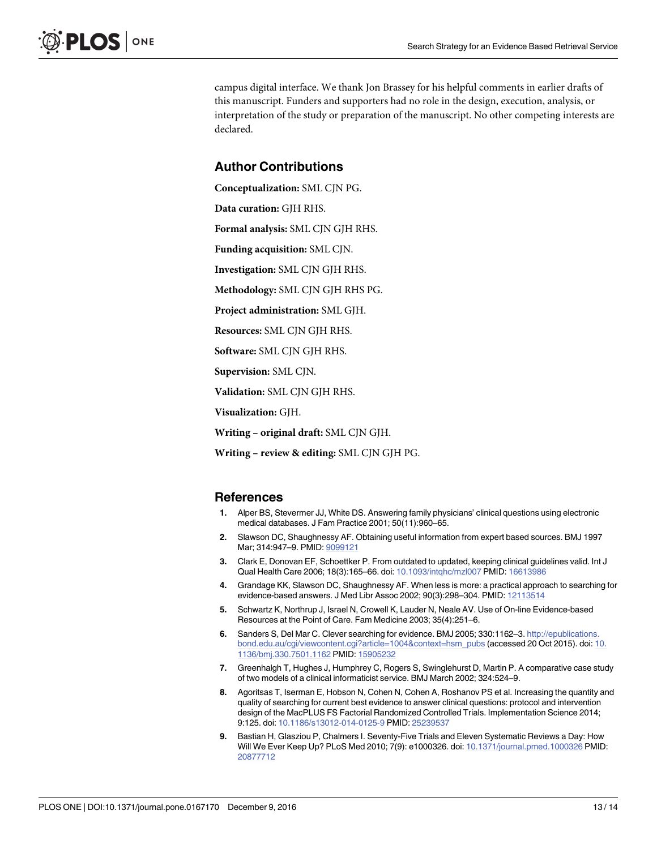<span id="page-13-0"></span>campus digital interface. We thank Jon Brassey for his helpful comments in earlier drafts of this manuscript. Funders and supporters had no role in the design, execution, analysis, or interpretation of the study or preparation of the manuscript. No other competing interests are declared.

#### **Author Contributions**

**Conceptualization:** SML CJN PG.

**Data curation:** GJH RHS.

**Formal analysis:** SML CJN GJH RHS.

**Funding acquisition:** SML CJN.

**Investigation:** SML CJN GJH RHS.

**Methodology:** SML CJN GJH RHS PG.

**Project administration:** SML GJH.

**Resources:** SML CJN GJH RHS.

**Software:** SML CJN GJH RHS.

**Supervision:** SML CJN.

**Validation:** SML CJN GJH RHS.

**Visualization:** GJH.

**Writing – original draft:** SML CJN GJH.

**Writing – review & editing:** SML CJN GJH PG.

#### **References**

- **[1](#page-2-0).** Alper BS, Stevermer JJ, White DS. Answering family physicians' clinical questions using electronic medical databases. J Fam Practice 2001; 50(11):960–65.
- **[2](#page-2-0).** Slawson DC, Shaughnessy AF. Obtaining useful information from expert based sources. BMJ 1997 Mar; 314:947–9. PMID: [9099121](http://www.ncbi.nlm.nih.gov/pubmed/9099121)
- **[3](#page-2-0).** Clark E, Donovan EF, Schoettker P. From outdated to updated, keeping clinical guidelines valid. Int J Qual Health Care 2006; 18(3):165–66. doi: [10.1093/intqhc/mzl007](http://dx.doi.org/10.1093/intqhc/mzl007) PMID: [16613986](http://www.ncbi.nlm.nih.gov/pubmed/16613986)
- **[4](#page-2-0).** Grandage KK, Slawson DC, Shaughnessy AF. When less is more: a practical approach to searching for evidence-based answers. J Med Libr Assoc 2002; 90(3):298–304. PMID: [12113514](http://www.ncbi.nlm.nih.gov/pubmed/12113514)
- **[5](#page-2-0).** Schwartz K, Northrup J, Israel N, Crowell K, Lauder N, Neale AV. Use of On-line Evidence-based Resources at the Point of Care. Fam Medicine 2003; 35(4):251–6.
- **[6](#page-2-0).** Sanders S, Del Mar C. Clever searching for evidence. BMJ 2005; 330:1162–3. [http://epublications.](http://epublications.bond.edu.au/cgi/viewcontent.cgi?article=1004&context=hsm_pubs) [bond.edu.au/cgi/viewcontent.cgi?article=1004&context=hsm\\_pubs](http://epublications.bond.edu.au/cgi/viewcontent.cgi?article=1004&context=hsm_pubs) (accessed 20 Oct 2015). doi: [10.](http://dx.doi.org/10.1136/bmj.330.7501.1162) [1136/bmj.330.7501.1162](http://dx.doi.org/10.1136/bmj.330.7501.1162) PMID: [15905232](http://www.ncbi.nlm.nih.gov/pubmed/15905232)
- **[7](#page-2-0).** Greenhalgh T, Hughes J, Humphrey C, Rogers S, Swinglehurst D, Martin P. A comparative case study of two models of a clinical informaticist service. BMJ March 2002; 324:524–9.
- **[8](#page-2-0).** Agoritsas T, Iserman E, Hobson N, Cohen N, Cohen A, Roshanov PS et al. Increasing the quantity and quality of searching for current best evidence to answer clinical questions: protocol and intervention design of the MacPLUS FS Factorial Randomized Controlled Trials. Implementation Science 2014; 9:125. doi: [10.1186/s13012-014-0125-9](http://dx.doi.org/10.1186/s13012-014-0125-9) PMID: [25239537](http://www.ncbi.nlm.nih.gov/pubmed/25239537)
- **[9](#page-2-0).** Bastian H, Glasziou P, Chalmers I. Seventy-Five Trials and Eleven Systematic Reviews a Day: How Will We Ever Keep Up? PLoS Med 2010; 7(9): e1000326. doi: [10.1371/journal.pmed.1000326](http://dx.doi.org/10.1371/journal.pmed.1000326) PMID: [20877712](http://www.ncbi.nlm.nih.gov/pubmed/20877712)